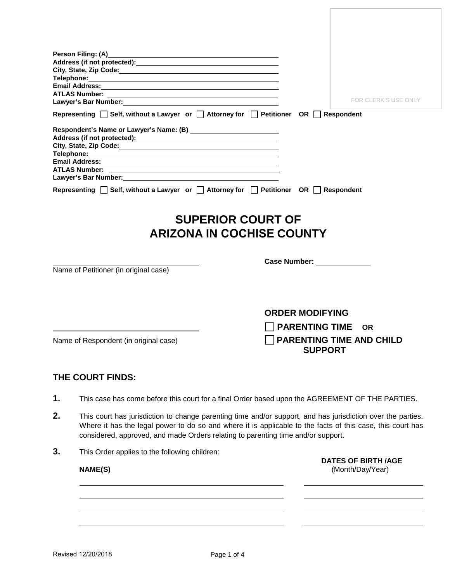|                |                                                                                                                | FOR CLERK'S USE ONLY                                                                                                                                                                                                      |  |  |
|----------------|----------------------------------------------------------------------------------------------------------------|---------------------------------------------------------------------------------------------------------------------------------------------------------------------------------------------------------------------------|--|--|
|                | Lawyer's Bar Number: 1997 - 1998 - 1999 - 1999 - 1999 - 1999 - 1999 - 1999 - 1999 - 1999 - 1999 - 1999 - 1999  |                                                                                                                                                                                                                           |  |  |
|                | Representing $\Box$ Self, without a Lawyer or $\Box$ Attorney for $\Box$ Petitioner OR $\Box$ Respondent       |                                                                                                                                                                                                                           |  |  |
|                |                                                                                                                |                                                                                                                                                                                                                           |  |  |
|                |                                                                                                                |                                                                                                                                                                                                                           |  |  |
|                |                                                                                                                |                                                                                                                                                                                                                           |  |  |
|                |                                                                                                                |                                                                                                                                                                                                                           |  |  |
|                | Lawyer's Bar Number: Management Communication of the United States and Communications of the United States and |                                                                                                                                                                                                                           |  |  |
|                | Representing $\Box$ Self, without a Lawyer or $\Box$ Attorney for $\Box$ Petitioner OR $\Box$ Respondent       |                                                                                                                                                                                                                           |  |  |
|                |                                                                                                                | <b>SUPERIOR COURT OF</b>                                                                                                                                                                                                  |  |  |
|                |                                                                                                                | <b>ARIZONA IN COCHISE COUNTY</b>                                                                                                                                                                                          |  |  |
|                |                                                                                                                | Case Number: ______________                                                                                                                                                                                               |  |  |
|                | Name of Petitioner (in original case)                                                                          |                                                                                                                                                                                                                           |  |  |
|                |                                                                                                                |                                                                                                                                                                                                                           |  |  |
|                |                                                                                                                |                                                                                                                                                                                                                           |  |  |
|                |                                                                                                                | <b>ORDER MODIFYING</b>                                                                                                                                                                                                    |  |  |
|                |                                                                                                                | <b>PARENTING TIME</b><br><b>OR</b>                                                                                                                                                                                        |  |  |
|                | Name of Respondent (in original case)                                                                          | <b>PARENTING TIME AND CHILD</b><br><b>SUPPORT</b>                                                                                                                                                                         |  |  |
|                | THE COURT FINDS:                                                                                               |                                                                                                                                                                                                                           |  |  |
|                | This case has come before this court for a final Order based upon the AGREEMENT OF THE PARTIES.                |                                                                                                                                                                                                                           |  |  |
|                |                                                                                                                |                                                                                                                                                                                                                           |  |  |
|                | considered, approved, and made Orders relating to parenting time and/or support.                               | This court has jurisdiction to change parenting time and/or support, and has jurisdiction over the parties.<br>Where it has the legal power to do so and where it is applicable to the facts of this case, this court has |  |  |
|                | This Order applies to the following children:                                                                  |                                                                                                                                                                                                                           |  |  |
| 1.<br>2.<br>3. | <b>NAME(S)</b>                                                                                                 | <b>DATES OF BIRTH /AGE</b><br>(Month/Day/Year)                                                                                                                                                                            |  |  |
|                |                                                                                                                |                                                                                                                                                                                                                           |  |  |
|                |                                                                                                                |                                                                                                                                                                                                                           |  |  |
|                |                                                                                                                |                                                                                                                                                                                                                           |  |  |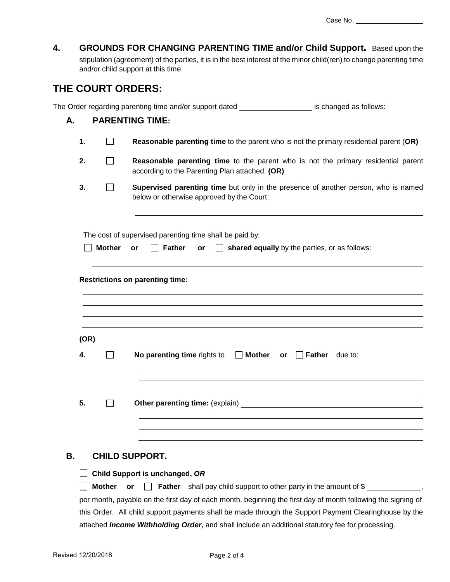Case No. \_\_\_\_\_\_\_

| 4. |  | <b>GROUNDS FOR CHANGING PARENTING TIME and/or Child Support.</b> Based upon the |  |
|----|--|---------------------------------------------------------------------------------|--|
|    |  |                                                                                 |  |

stipulation (agreement) of the parties, it is in the best interest of the minor child(ren) to change parenting time and/or child support at this time.

## **THE COURT ORDERS:**

The Order regarding parenting time and/or support dated is changed as follows:

#### **A. PARENTING TIME:**

- **1. Consense is a Reasonable parenting time** to the parent who is not the primary residential parent (OR)
- **2. Reasonable parenting time** to the parent who is not the primary residential parent according to the Parenting Plan attached. **(OR)**
- **3. Supervised parenting time** but only in the presence of another person, who is named below or otherwise approved by the Court:

The cost of supervised parenting time shall be paid by:

 **Mother or Father or shared equally** by the parties, or as follows:

**Restrictions on parenting time:**

| (OR) |                                                                    |
|------|--------------------------------------------------------------------|
| 4.   | No parenting time rights to $\Box$ Mother or $\Box$ Father due to: |
| 5.   |                                                                    |

#### **B. CHILD SUPPORT.**

|  |  |  |  | $\Box$ Child Support is unchanged, OR |  |
|--|--|--|--|---------------------------------------|--|
|--|--|--|--|---------------------------------------|--|

**Mother or Father** shall pay child support to other party in the amount of  $\$$ per month, payable on the first day of each month, beginning the first day of month following the signing of this Order. All child support payments shall be made through the Support Payment Clearinghouse by the attached *Income Withholding Order,* and shall include an additional statutory fee for processing.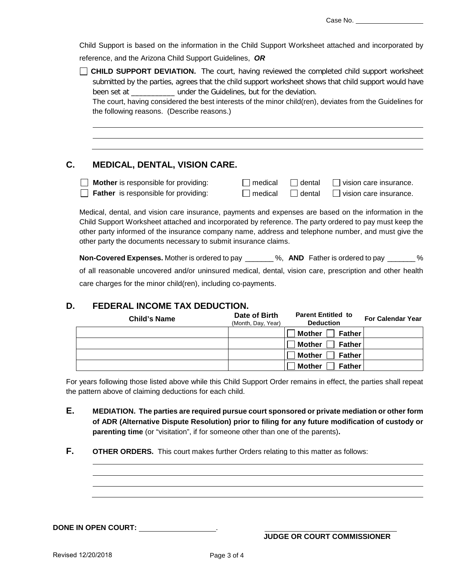Child Support is based on the information in the Child Support Worksheet attached and incorporated by reference, and the Arizona Child Support Guidelines, *OR*

| CHILD SUPPORT DEVIATION. The court, having reviewed the completed child support worksheet                 |
|-----------------------------------------------------------------------------------------------------------|
| submitted by the parties, agrees that the child support worksheet shows that child support would have     |
| been set at <b>been</b> set at <b>the suidelines</b> but for the deviation.                               |
| The court, having considered the best interests of the minor child(ren), deviates from the Guidelines for |
| the following reasons. (Describe reasons.)                                                                |

## **C. MEDICAL, DENTAL, VISION CARE.**

| Mother is responsible for providing:        | $\Box$ medical | $\Box$ dental $\Box$ vision care insurance.                |
|---------------------------------------------|----------------|------------------------------------------------------------|
| $\Box$ Father is responsible for providing: |                | $\Box$ medical $\Box$ dental $\Box$ vision care insurance. |

Medical, dental, and vision care insurance, payments and expenses are based on the information in the Child Support Worksheet attached and incorporated by reference. The party ordered to pay must keep the other party informed of the insurance company name, address and telephone number, and must give the other party the documents necessary to submit insurance claims.

**Non-Covered Expenses.** Mother is ordered to pay \_\_\_\_\_\_\_ %, **AND** Father is ordered to pay \_\_\_\_\_\_\_ % of all reasonable uncovered and/or uninsured medical, dental, vision care, prescription and other health care charges for the minor child(ren), including co-payments.

### **D. FEDERAL INCOME TAX DEDUCTION.**

| <b>Child's Name</b> | Date of Birth<br>(Month, Day, Year) | <b>Parent Entitled to</b><br><b>Deduction</b> | <b>For Calendar Year</b> |
|---------------------|-------------------------------------|-----------------------------------------------|--------------------------|
|                     |                                     | <b>Mother</b><br><b>Father</b>                |                          |
|                     |                                     | Mother $\Box$<br><b>Father</b>                |                          |
|                     |                                     | <b>Mother</b><br><b>Father</b>                |                          |
|                     |                                     | <b>Mother</b><br><b>Father</b>                |                          |

For years following those listed above while this Child Support Order remains in effect, the parties shall repeat the pattern above of claiming deductions for each child.

- **E. MEDIATION. The parties are required pursue court sponsored or private mediation or other form of ADR (Alternative Dispute Resolution) prior to filing for any future modification of custody or parenting time** (or "visitation", if for someone other than one of the parents)**.**
- **F. OTHER ORDERS.** This court makes further Orders relating to this matter as follows:

**DONE IN OPEN COURT:** .

**JUDGE OR COURT COMMISSIONER**